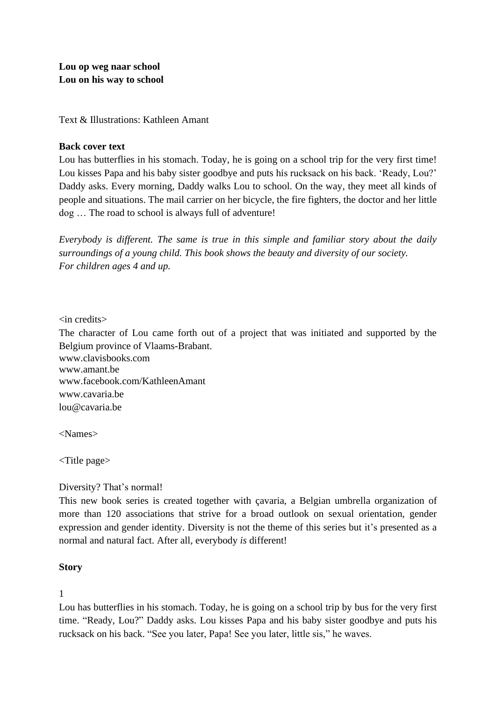Text & Illustrations: Kathleen Amant

#### **Back cover text**

Lou has butterflies in his stomach. Today, he is going on a school trip for the very first time! Lou kisses Papa and his baby sister goodbye and puts his rucksack on his back. 'Ready, Lou?' Daddy asks. Every morning, Daddy walks Lou to school. On the way, they meet all kinds of people and situations. The mail carrier on her bicycle, the fire fighters, the doctor and her little dog … The road to school is always full of adventure!

*Everybody is different. The same is true in this simple and familiar story about the daily surroundings of a young child. This book shows the beauty and diversity of our society. For children ages 4 and up.* 

#### <in credits>

The character of Lou came forth out of a project that was initiated and supported by the Belgium province of Vlaams-Brabant. www.clavisbooks.com www.amant.be www.facebook.com/KathleenAmant [www.cavaria.be](http://www.cavaria.be/) [lou@cavaria.be](mailto:lou@cavaria.be)

<Names>

<Title page>

Diversity? That's normal!

This new book series is created together with çavaria, a Belgian umbrella organization of more than 120 associations that strive for a broad outlook on sexual orientation, gender expression and gender identity. Diversity is not the theme of this series but it's presented as a normal and natural fact. After all, everybody *is* different!

#### **Story**

1

Lou has butterflies in his stomach. Today, he is going on a school trip by bus for the very first time. "Ready, Lou?" Daddy asks. Lou kisses Papa and his baby sister goodbye and puts his rucksack on his back. "See you later, Papa! See you later, little sis," he waves.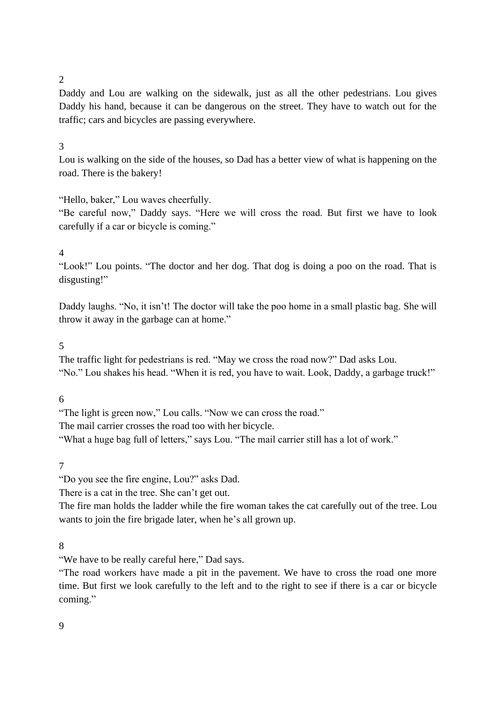## 2

Daddy and Lou are walking on the sidewalk, just as all the other pedestrians. Lou gives Daddy his hand, because it can be dangerous on the street. They have to watch out for the traffic; cars and bicycles are passing everywhere.

### 3

Lou is walking on the side of the houses, so Dad has a better view of what is happening on the road. There is the bakery!

### "Hello, baker," Lou waves cheerfully.

"Be careful now," Daddy says. "Here we will cross the road. But first we have to look carefully if a car or bicycle is coming."

### $\Delta$

"Look!" Lou points. "The doctor and her dog. That dog is doing a poo on the road. That is disgusting!"

Daddy laughs. "No, it isn't! The doctor will take the poo home in a small plastic bag. She will throw it away in the garbage can at home."

### 5

The traffic light for pedestrians is red. "May we cross the road now?" Dad asks Lou. "No." Lou shakes his head. "When it is red, you have to wait. Look, Daddy, a garbage truck!"

#### 6

"The light is green now," Lou calls. "Now we can cross the road."

The mail carrier crosses the road too with her bicycle.

"What a huge bag full of letters," says Lou. "The mail carrier still has a lot of work."

### 7

"Do you see the fire engine, Lou?" asks Dad.

There is a cat in the tree. She can't get out.

The fire man holds the ladder while the fire woman takes the cat carefully out of the tree. Lou wants to join the fire brigade later, when he's all grown up.

### 8

"We have to be really careful here," Dad says.

"The road workers have made a pit in the pavement. We have to cross the road one more time. But first we look carefully to the left and to the right to see if there is a car or bicycle coming."

#### 9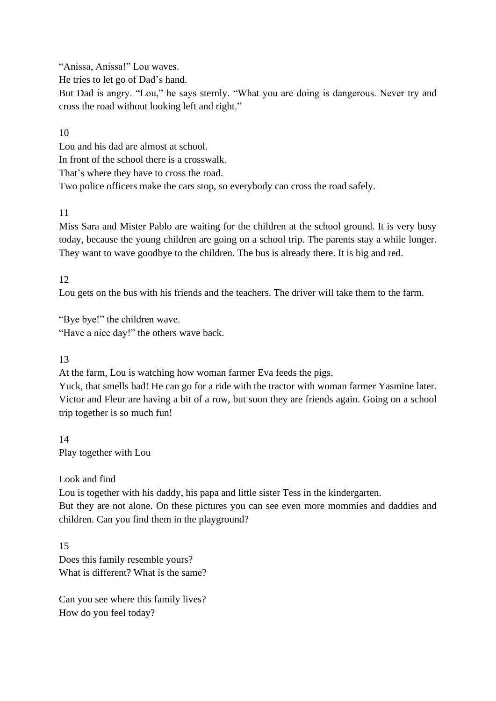"Anissa, Anissa!" Lou waves.

He tries to let go of Dad's hand.

But Dad is angry. "Lou," he says sternly. "What you are doing is dangerous. Never try and cross the road without looking left and right."

## 10

Lou and his dad are almost at school.

In front of the school there is a crosswalk.

That's where they have to cross the road.

Two police officers make the cars stop, so everybody can cross the road safely.

# 11

Miss Sara and Mister Pablo are waiting for the children at the school ground. It is very busy today, because the young children are going on a school trip. The parents stay a while longer. They want to wave goodbye to the children. The bus is already there. It is big and red.

# 12

Lou gets on the bus with his friends and the teachers. The driver will take them to the farm.

"Bye bye!" the children wave. "Have a nice day!" the others wave back.

# 13

At the farm, Lou is watching how woman farmer Eva feeds the pigs.

Yuck, that smells bad! He can go for a ride with the tractor with woman farmer Yasmine later. Victor and Fleur are having a bit of a row, but soon they are friends again. Going on a school trip together is so much fun!

14 Play together with Lou

# Look and find

Lou is together with his daddy, his papa and little sister Tess in the kindergarten.

But they are not alone. On these pictures you can see even more mommies and daddies and children. Can you find them in the playground?

15 Does this family resemble yours? What is different? What is the same?

Can you see where this family lives? How do you feel today?